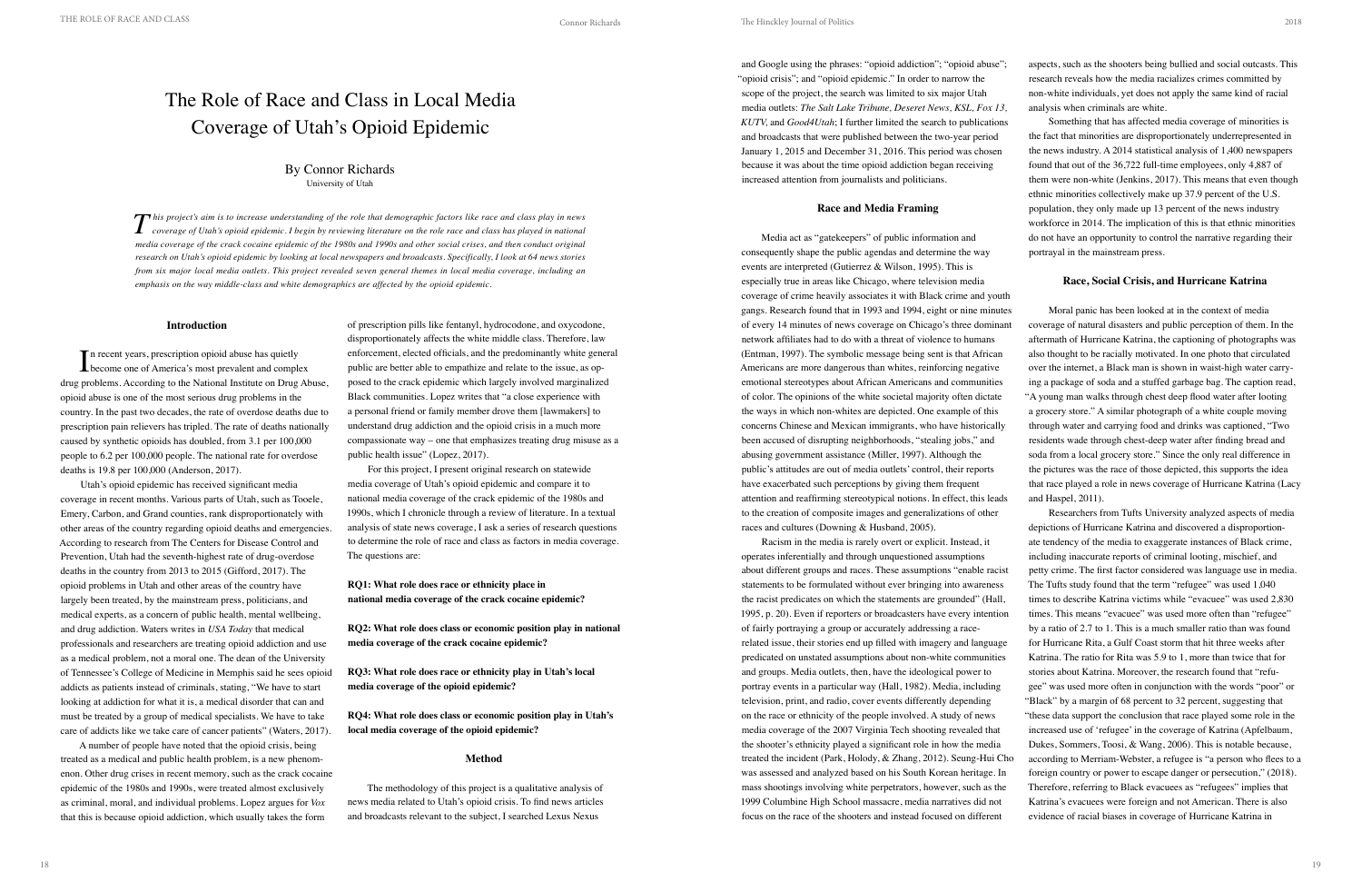# **Introduction**

In recent years, prescription opioid abuse has quietly<br>become one of America's most prevalent and complete **L** become one of America's most prevalent and complex drug problems. According to the National Institute on Drug Abuse, opioid abuse is one of the most serious drug problems in the country. In the past two decades, the rate of overdose deaths due to prescription pain relievers has tripled. The rate of deaths nationally caused by synthetic opioids has doubled, from 3.1 per 100,000 people to 6.2 per 100,000 people. The national rate for overdose deaths is 19.8 per 100,000 (Anderson, 2017).

Utah's opioid epidemic has received significant media coverage in recent months. Various parts of Utah, such as Tooele, Emery, Carbon, and Grand counties, rank disproportionately with other areas of the country regarding opioid deaths and emergencies. According to research from The Centers for Disease Control and Prevention, Utah had the seventh-highest rate of drug-overdose deaths in the country from 2013 to 2015 (Gifford, 2017). The opioid problems in Utah and other areas of the country have largely been treated, by the mainstream press, politicians, and medical experts, as a concern of public health, mental wellbeing, and drug addiction. Waters writes in *USA Today* that medical professionals and researchers are treating opioid addiction and use as a medical problem, not a moral one. The dean of the University of Tennessee's College of Medicine in Memphis said he sees opioid addicts as patients instead of criminals, stating, "We have to start looking at addiction for what it is, a medical disorder that can and must be treated by a group of medical specialists. We have to take care of addicts like we take care of cancer patients" (Waters, 2017).

A number of people have noted that the opioid crisis, being treated as a medical and public health problem, is a new phenomenon. Other drug crises in recent memory, such as the crack cocaine epidemic of the 1980s and 1990s, were treated almost exclusively as criminal, moral, and individual problems. Lopez argues for *Vox* that this is because opioid addiction, which usually takes the form

of prescription pills like fentanyl, hydrocodone, and oxycodone, disproportionately affects the white middle class. Therefore, law enforcement, elected officials, and the predominantly white general public are better able to empathize and relate to the issue, as opposed to the crack epidemic which largely involved marginalized Black communities. Lopez writes that "a close experience with a personal friend or family member drove them [lawmakers] to understand drug addiction and the opioid crisis in a much more compassionate way – one that emphasizes treating drug misuse as a public health issue" (Lopez, 2017).

For this project, I present original research on statewide media coverage of Utah's opioid epidemic and compare it to national media coverage of the crack epidemic of the 1980s and 1990s, which I chronicle through a review of literature. In a textual analysis of state news coverage, I ask a series of research questions to determine the role of race and class as factors in media coverage. The questions are:

# **RQ1: What role does race or ethnicity place in national media coverage of the crack cocaine epidemic?**

**RQ2: What role does class or economic position play in national media coverage of the crack cocaine epidemic?** 

**RQ3: What role does race or ethnicity play in Utah's local media coverage of the opioid epidemic?** 

**RQ4: What role does class or economic position play in Utah's local media coverage of the opioid epidemic?** 

# **Method**

The methodology of this project is a qualitative analysis of news media related to Utah's opioid crisis. To find news articles and broadcasts relevant to the subject, I searched Lexus Nexus

# The Role of Race and Class in Local Media Coverage of Utah's Opioid Epidemic

# By Connor Richards University of Utah

and Google using the phrases: "opioid addiction"; "opioid abuse"; "opioid crisis"; and "opioid epidemic." In order to narrow the scope of the project, the search was limited to six major Utah media outlets: *The Salt Lake Tribune, Deseret News, KSL, Fox 13, KUTV,* and *Good4Utah*; I further limited the search to publications and broadcasts that were published between the two-year period January 1, 2015 and December 31, 2016. This period was chosen because it was about the time opioid addiction began receiving increased attention from journalists and politicians.

### **Race and Media Framing**

 $\boldsymbol{T}$  his project's aim is to increase understanding of the role that demographic factors like race and class play in news<br>Coverage of Utah's opioid epidemic. I begin by reviewing literature on the role race and class h *media coverage of the crack cocaine epidemic of the 1980s and 1990s and other social crises, and then conduct original research on Utah's opioid epidemic by looking at local newspapers and broadcasts. Specifically, I look at 64 news stories from six major local media outlets. This project revealed seven general themes in local media coverage, including an emphasis on the way middle-class and white demographics are affected by the opioid epidemic.*

Media act as "gatekeepers" of public information and consequently shape the public agendas and determine the way events are interpreted (Gutierrez & Wilson, 1995). This is especially true in areas like Chicago, where television media coverage of crime heavily associates it with Black crime and youth gangs. Research found that in 1993 and 1994, eight or nine minutes of every 14 minutes of news coverage on Chicago's three dominant network affiliates had to do with a threat of violence to humans (Entman, 1997). The symbolic message being sent is that African Americans are more dangerous than whites, reinforcing negative emotional stereotypes about African Americans and communities of color. The opinions of the white societal majority often dictate the ways in which non-whites are depicted. One example of this concerns Chinese and Mexican immigrants, who have historically been accused of disrupting neighborhoods, "stealing jobs," and abusing government assistance (Miller, 1997). Although the public's attitudes are out of media outlets' control, their reports have exacerbated such perceptions by giving them frequent attention and reaffirming stereotypical notions. In effect, this leads portrayal in the mainstream press. **Race, Social Crisis, and Hurricane Katrina** Moral panic has been looked at in the context of media coverage of natural disasters and public perception of them. In the aftermath of Hurricane Katrina, the captioning of photographs was also thought to be racially motivated. In one photo that circulated over the internet, a Black man is shown in waist-high water carrying a package of soda and a stuffed garbage bag. The caption read, "A young man walks through chest deep flood water after looting a grocery store." A similar photograph of a white couple moving through water and carrying food and drinks was captioned, "Two residents wade through chest-deep water after finding bread and soda from a local grocery store." Since the only real difference in the pictures was the race of those depicted, this supports the idea that race played a role in news coverage of Hurricane Katrina (Lacy and Haspel, 2011). Researchers from Tufts University analyzed aspects of media

aspects, such as the shooters being bullied and social outcasts. This research reveals how the media racializes crimes committed by non-white individuals, yet does not apply the same kind of racial

analysis when criminals are white. Something that has affected media coverage of minorities is the fact that minorities are disproportionately underrepresented in the news industry. A 2014 statistical analysis of 1,400 newspapers found that out of the 36,722 full-time employees, only 4,887 of them were non-white (Jenkins, 2017). This means that even though ethnic minorities collectively make up 37.9 percent of the U.S. population, they only made up 13 percent of the news industry workforce in 2014. The implication of this is that ethnic minorities do not have an opportunity to control the narrative regarding their

to the creation of composite images and generalizations of other races and cultures (Downing & Husband, 2005). Racism in the media is rarely overt or explicit. Instead, it operates inferentially and through unquestioned assumptions about different groups and races. These assumptions "enable racist statements to be formulated without ever bringing into awareness the racist predicates on which the statements are grounded" (Hall, 1995, p. 20). Even if reporters or broadcasters have every intention of fairly portraying a group or accurately addressing a racerelated issue, their stories end up filled with imagery and language predicated on unstated assumptions about non-white communities and groups. Media outlets, then, have the ideological power to portray events in a particular way (Hall, 1982). Media, including television, print, and radio, cover events differently depending on the race or ethnicity of the people involved. A study of news media coverage of the 2007 Virginia Tech shooting revealed that the shooter's ethnicity played a significant role in how the media treated the incident (Park, Holody, & Zhang, 2012). Seung-Hui Cho was assessed and analyzed based on his South Korean heritage. In mass shootings involving white perpetrators, however, such as the 1999 Columbine High School massacre, media narratives did not focus on the race of the shooters and instead focused on different depictions of Hurricane Katrina and discovered a disproportionate tendency of the media to exaggerate instances of Black crime, including inaccurate reports of criminal looting, mischief, and petty crime. The first factor considered was language use in media. The Tufts study found that the term "refugee" was used 1,040 times to describe Katrina victims while "evacuee" was used 2,830 times. This means "evacuee" was used more often than "refugee" by a ratio of 2.7 to 1. This is a much smaller ratio than was found for Hurricane Rita, a Gulf Coast storm that hit three weeks after Katrina. The ratio for Rita was 5.9 to 1, more than twice that for stories about Katrina. Moreover, the research found that "refugee" was used more often in conjunction with the words "poor" or "Black" by a margin of 68 percent to 32 percent, suggesting that "these data support the conclusion that race played some role in the increased use of 'refugee' in the coverage of Katrina (Apfelbaum, Dukes, Sommers, Toosi, & Wang, 2006). This is notable because, according to Merriam-Webster, a refugee is "a person who flees to a foreign country or power to escape danger or persecution," (2018). Therefore, referring to Black evacuees as "refugees" implies that Katrina's evacuees were foreign and not American. There is also evidence of racial biases in coverage of Hurricane Katrina in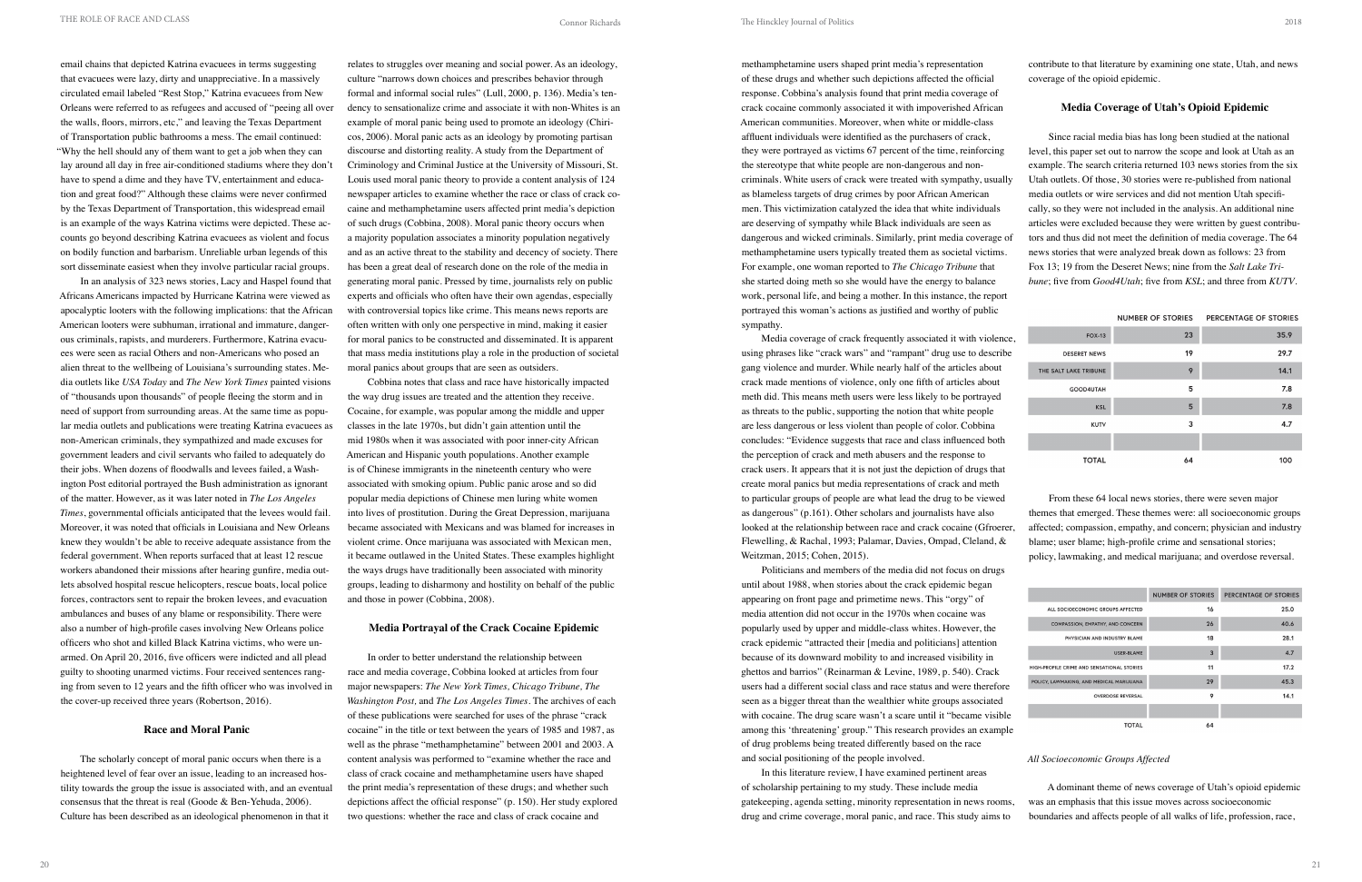email chains that depicted Katrina evacuees in terms suggesting that evacuees were lazy, dirty and unappreciative. In a massively circulated email labeled "Rest Stop," Katrina evacuees from New Orleans were referred to as refugees and accused of "peeing all over the walls, floors, mirrors, etc," and leaving the Texas Department of Transportation public bathrooms a mess. The email continued: "Why the hell should any of them want to get a job when they can lay around all day in free air-conditioned stadiums where they don't have to spend a dime and they have TV, entertainment and education and great food?" Although these claims were never confirmed by the Texas Department of Transportation, this widespread email is an example of the ways Katrina victims were depicted. These accounts go beyond describing Katrina evacuees as violent and focus on bodily function and barbarism. Unreliable urban legends of this sort disseminate easiest when they involve particular racial groups.

In an analysis of 323 news stories, Lacy and Haspel found that Africans Americans impacted by Hurricane Katrina were viewed as apocalyptic looters with the following implications: that the African American looters were subhuman, irrational and immature, dangerous criminals, rapists, and murderers. Furthermore, Katrina evacuees were seen as racial Others and non-Americans who posed an alien threat to the wellbeing of Louisiana's surrounding states. Media outlets like *USA Today* and *The New York Times* painted visions of "thousands upon thousands" of people fleeing the storm and in need of support from surrounding areas. At the same time as popular media outlets and publications were treating Katrina evacuees as non-American criminals, they sympathized and made excuses for government leaders and civil servants who failed to adequately do their jobs. When dozens of floodwalls and levees failed, a Washington Post editorial portrayed the Bush administration as ignorant of the matter. However, as it was later noted in *The Los Angeles Times*, governmental officials anticipated that the levees would fail. Moreover, it was noted that officials in Louisiana and New Orleans knew they wouldn't be able to receive adequate assistance from the federal government. When reports surfaced that at least 12 rescue workers abandoned their missions after hearing gunfire, media outlets absolved hospital rescue helicopters, rescue boats, local police forces, contractors sent to repair the broken levees, and evacuation ambulances and buses of any blame or responsibility. There were also a number of high-profile cases involving New Orleans police officers who shot and killed Black Katrina victims, who were unarmed. On April 20, 2016, five officers were indicted and all plead guilty to shooting unarmed victims. Four received sentences ranging from seven to 12 years and the fifth officer who was involved in the cover-up received three years (Robertson, 2016).

# **Race and Moral Panic**

The scholarly concept of moral panic occurs when there is a heightened level of fear over an issue, leading to an increased hostility towards the group the issue is associated with, and an eventual consensus that the threat is real (Goode & Ben-Yehuda, 2006). Culture has been described as an ideological phenomenon in that it

relates to struggles over meaning and social power. As an ideology, culture "narrows down choices and prescribes behavior through formal and informal social rules" (Lull, 2000, p. 136). Media's tendency to sensationalize crime and associate it with non-Whites is an example of moral panic being used to promote an ideology (Chiricos, 2006). Moral panic acts as an ideology by promoting partisan discourse and distorting reality. A study from the Department of Criminology and Criminal Justice at the University of Missouri, St. Louis used moral panic theory to provide a content analysis of 124 newspaper articles to examine whether the race or class of crack cocaine and methamphetamine users affected print media's depiction of such drugs (Cobbina, 2008). Moral panic theory occurs when a majority population associates a minority population negatively and as an active threat to the stability and decency of society. There has been a great deal of research done on the role of the media in generating moral panic. Pressed by time, journalists rely on public experts and officials who often have their own agendas, especially with controversial topics like crime. This means news reports are often written with only one perspective in mind, making it easier for moral panics to be constructed and disseminated. It is apparent that mass media institutions play a role in the production of societal moral panics about groups that are seen as outsiders.

Cobbina notes that class and race have historically impacted the way drug issues are treated and the attention they receive. Cocaine, for example, was popular among the middle and upper classes in the late 1970s, but didn't gain attention until the mid 1980s when it was associated with poor inner-city African American and Hispanic youth populations. Another example is of Chinese immigrants in the nineteenth century who were associated with smoking opium. Public panic arose and so did popular media depictions of Chinese men luring white women into lives of prostitution. During the Great Depression, marijuana became associated with Mexicans and was blamed for increases in violent crime. Once marijuana was associated with Mexican men, it became outlawed in the United States. These examples highlight the ways drugs have traditionally been associated with minority groups, leading to disharmony and hostility on behalf of the public and those in power (Cobbina, 2008).

Media coverage of crack frequently associated it with violen using phrases like "crack wars" and "rampant" drug use to describ gang violence and murder. While nearly half of the articles about crack made mentions of violence, only one fifth of articles about meth did. This means meth users were less likely to be portrayed as threats to the public, supporting the notion that white people are less dangerous or less violent than people of color. Cobbina concludes: "Evidence suggests that race and class influenced both the perception of crack and meth abusers and the response to crack users. It appears that it is not just the depiction of drugs that create moral panics but media representations of crack and meth to particular groups of people are what lead the drug to be viewed as dangerous" (p.161). Other scholars and journalists have also looked at the relationship between race and crack cocaine (Gfroerer, Flewelling, & Rachal, 1993; Palamar, Davies, Ompad, Cleland, & Weitzman, 2015; Cohen, 2015). From these 64 local news stories, there were seven major themes that emerged. These themes were: all socioeconomic groups affected; compassion, empathy, and concern; physician and industry blame; user blame; high-profile crime and sensational stories; policy, lawmaking, and medical marijuana; and overdose reversal.

# **Media Portrayal of the Crack Cocaine Epidemic**

In order to better understand the relationship between race and media coverage, Cobbina looked at articles from four major newspapers: *The New York Times, Chicago Tribune, The Washington Post,* and *The Los Angeles Times*. The archives of each of these publications were searched for uses of the phrase "crack cocaine" in the title or text between the years of 1985 and 1987, as well as the phrase "methamphetamine" between 2001 and 2003. A content analysis was performed to "examine whether the race and class of crack cocaine and methamphetamine users have shaped the print media's representation of these drugs; and whether such depictions affect the official response" (p. 150). Her study explored two questions: whether the race and class of crack cocaine and

methamphetamine users shaped print media's representation of these drugs and whether such depictions affected the official response. Cobbina's analysis found that print media coverage of crack cocaine commonly associated it with impoverished African American communities. Moreover, when white or middle-class affluent individuals were identified as the purchasers of crack, they were portrayed as victims 67 percent of the time, reinforcing the stereotype that white people are non-dangerous and noncriminals. White users of crack were treated with sympathy, usually as blameless targets of drug crimes by poor African American men. This victimization catalyzed the idea that white individuals are deserving of sympathy while Black individuals are seen as dangerous and wicked criminals. Similarly, print media coverage of methamphetamine users typically treated them as societal victims. For example, one woman reported to *The Chicago Tribune* that she started doing meth so she would have the energy to balance work, personal life, and being a mother. In this instance, the report portrayed this woman's actions as justified and worthy of public sympathy. coverage of the opioid epidemic. **Media Coverage of Utah's Opioid Epidemic** Since racial media bias has long been studied at the national level, this paper set out to narrow the scope and look at Utah as an example. The search criteria returned 103 news stories from the six Utah outlets. Of those, 30 stories were re-published from national media outlets or wire services and did not mention Utah specifically, so they were not included in the analysis. An additional nine articles were excluded because they were written by guest contributors and thus did not meet the definition of media coverage. The 64 news stories that were analyzed break down as follows: 23 from Fox 13; 19 from the Deseret News; nine from the *Salt Lake Tribune*; five from *Good4Utah*; five from *KSL*; and three from *KUTV*.

Politicians and members of the media did not focus on drugs until about 1988, when stories about the crack epidemic began appearing on front page and primetime news. This "orgy" of media attention did not occur in the 1970s when cocaine was popularly used by upper and middle-class whites. However, the crack epidemic "attracted their [media and politicians] attention because of its downward mobility to and increased visibility in ghettos and barrios" (Reinarman & Levine, 1989, p. 540). Crack users had a different social class and race status and were therefore seen as a bigger threat than the wealthier white groups associated with cocaine. The drug scare wasn't a scare until it "became visible among this 'threatening' group." This research provides an example of drug problems being treated differently based on the race and social positioning of the people involved.

contribute to that literature by examining one state, Utah, and news

|     |                       | <b>NUMBER OF STORIES</b> | PERCENTAGE OF STORIES |
|-----|-----------------------|--------------------------|-----------------------|
| ce, | <b>FOX-13</b>         | 23                       | 35.9                  |
| be  | <b>DESERET NEWS</b>   | 19                       | 29.7                  |
|     | THE SALT LAKE TRIBUNE | 9                        | 14.1                  |
|     | GOOD4UTAH             | 5                        | 7.8                   |
|     | <b>KSL</b>            | 5                        | 7.8                   |
|     | <b>KUTV</b>           | 3                        | 4.7                   |
|     |                       |                          |                       |
|     | <b>TOTAL</b>          | 64                       | 100                   |

|                                            | <b>NUMBER OF STORIES</b> | PERCENTAGE OF STORIES |
|--------------------------------------------|--------------------------|-----------------------|
| ALL SOCIOECONOMIC GROUPS AFFECTED          | 16                       | 25.0                  |
| COMPASSION, EMPATHY, AND CONCERN           | 26                       | 40.6                  |
| PHYSICIAN AND INDUSTRY BLAME               | 18                       | 28.1                  |
| <b>USER-BLAME</b>                          | $\overline{3}$           | 4.7                   |
| HIGH-PROFILE CRIME AND SENSATIONAL STORIES | 11                       | 17.2                  |
| POLICY, LAWMAKING, AND MEDICAL MARIJUANA   | 29                       | 45.3                  |
| <b>OVERDOSE REVERSAL</b>                   | 9                        | 14.1                  |
|                                            |                          |                       |
| <b>TOTAL</b>                               | 64                       |                       |

In this literature review, I have examined pertinent areas of scholarship pertaining to my study. These include media gatekeeping, agenda setting, minority representation in news rooms, drug and crime coverage, moral panic, and race. This study aims to A dominant theme of news coverage of Utah's opioid epidemic was an emphasis that this issue moves across socioeconomic boundaries and affects people of all walks of life, profession, race,

# *All Socioeconomic Groups Affected*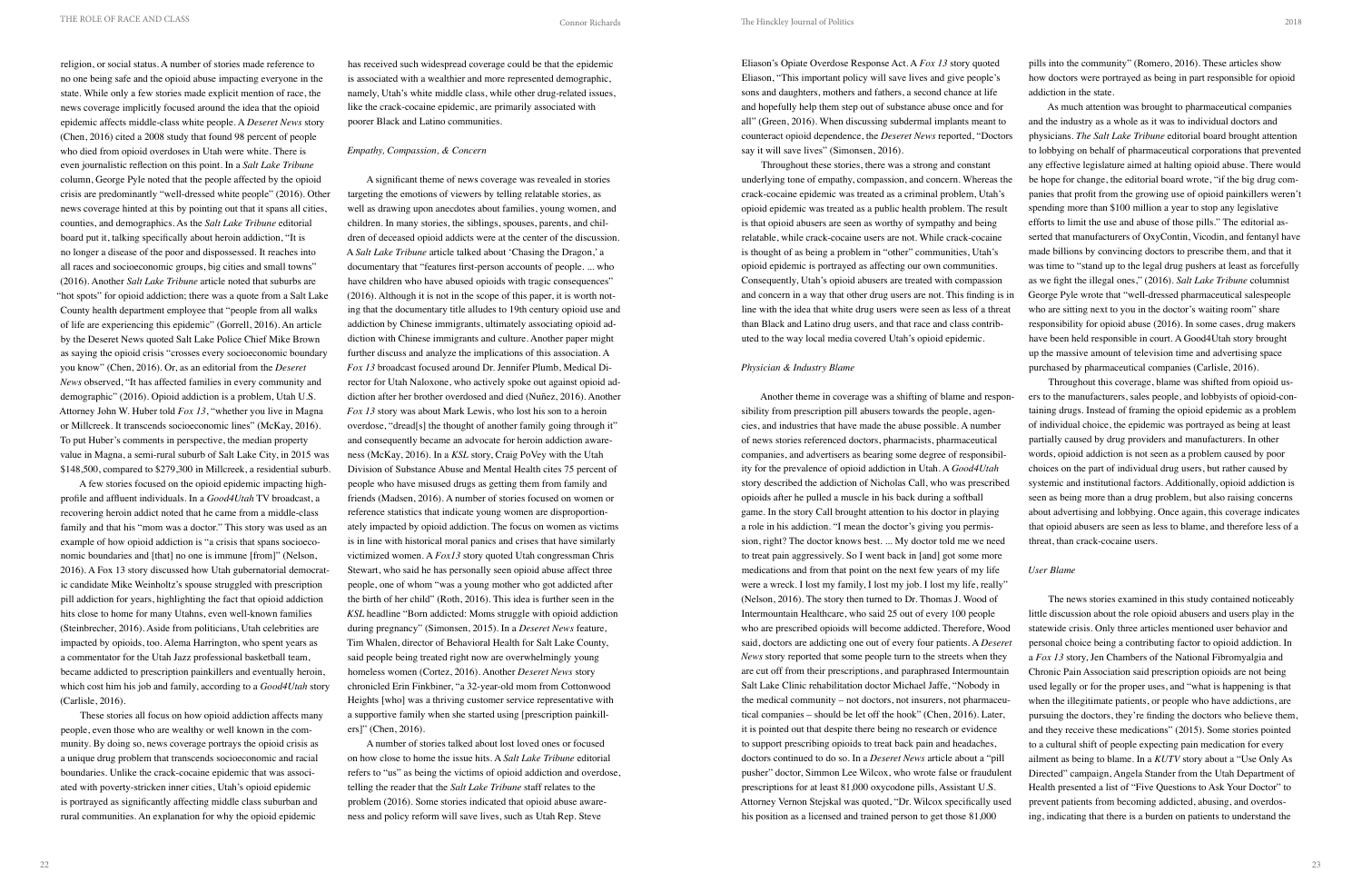The Hinckley Journal of Politics

religion, or social status. A number of stories made reference to no one being safe and the opioid abuse impacting everyone in the state. While only a few stories made explicit mention of race, the news coverage implicitly focused around the idea that the opioid epidemic affects middle-class white people. A *Deseret News* story (Chen, 2016) cited a 2008 study that found 98 percent of people who died from opioid overdoses in Utah were white. There is even journalistic reflection on this point. In a *Salt Lake Tribune*  column, George Pyle noted that the people affected by the opioid crisis are predominantly "well-dressed white people" (2016). Other news coverage hinted at this by pointing out that it spans all cities, counties, and demographics. As the *Salt Lake Tribune* editorial board put it, talking specifically about heroin addiction, "It is no longer a disease of the poor and dispossessed. It reaches into all races and socioeconomic groups, big cities and small towns" (2016). Another *Salt Lake Tribune* article noted that suburbs are "hot spots" for opioid addiction; there was a quote from a Salt Lake County health department employee that "people from all walks of life are experiencing this epidemic" (Gorrell, 2016). An article by the Deseret News quoted Salt Lake Police Chief Mike Brown as saying the opioid crisis "crosses every socioeconomic boundary you know" (Chen, 2016). Or, as an editorial from the *Deseret News* observed, "It has affected families in every community and demographic" (2016). Opioid addiction is a problem, Utah U.S. Attorney John W. Huber told *Fox 13*, "whether you live in Magna or Millcreek. It transcends socioeconomic lines" (McKay, 2016). To put Huber's comments in perspective, the median property value in Magna, a semi-rural suburb of Salt Lake City, in 2015 was \$148,500, compared to \$279,300 in Millcreek, a residential suburb.

A few stories focused on the opioid epidemic impacting highprofile and affluent individuals. In a *Good4Utah* TV broadcast, a recovering heroin addict noted that he came from a middle-class family and that his "mom was a doctor." This story was used as an example of how opioid addiction is "a crisis that spans socioeconomic boundaries and [that] no one is immune [from]" (Nelson, 2016). A Fox 13 story discussed how Utah gubernatorial democratic candidate Mike Weinholtz's spouse struggled with prescription pill addiction for years, highlighting the fact that opioid addiction hits close to home for many Utahns, even well-known families (Steinbrecher, 2016). Aside from politicians, Utah celebrities are impacted by opioids, too. Alema Harrington, who spent years as a commentator for the Utah Jazz professional basketball team, became addicted to prescription painkillers and eventually heroin, which cost him his job and family, according to a *Good4Utah* story (Carlisle, 2016).

These stories all focus on how opioid addiction affects many people, even those who are wealthy or well known in the community. By doing so, news coverage portrays the opioid crisis as a unique drug problem that transcends socioeconomic and racial boundaries. Unlike the crack-cocaine epidemic that was associated with poverty-stricken inner cities, Utah's opioid epidemic is portrayed as significantly affecting middle class suburban and rural communities. An explanation for why the opioid epidemic

has received such widespread coverage could be that the epidemic is associated with a wealthier and more represented demographic, namely, Utah's white middle class, while other drug-related issues, like the crack-cocaine epidemic, are primarily associated with poorer Black and Latino communities.

# *Empathy, Compassion, & Concern*

A significant theme of news coverage was revealed in stories targeting the emotions of viewers by telling relatable stories, as well as drawing upon anecdotes about families, young women, and children. In many stories, the siblings, spouses, parents, and children of deceased opioid addicts were at the center of the discussion. A *Salt Lake Tribune* article talked about 'Chasing the Dragon,' a documentary that "features first-person accounts of people. ... who have children who have abused opioids with tragic consequences" (2016). Although it is not in the scope of this paper, it is worth noting that the documentary title alludes to 19th century opioid use and addiction by Chinese immigrants, ultimately associating opioid addiction with Chinese immigrants and culture. Another paper might further discuss and analyze the implications of this association. A *Fox 13* broadcast focused around Dr. Jennifer Plumb, Medical Director for Utah Naloxone, who actively spoke out against opioid addiction after her brother overdosed and died (Nuñez, 2016). Another *Fox 13* story was about Mark Lewis, who lost his son to a heroin overdose, "dread[s] the thought of another family going through it" and consequently became an advocate for heroin addiction awareness (McKay, 2016). In a *KSL* story, Craig PoVey with the Utah Division of Substance Abuse and Mental Health cites 75 percent of people who have misused drugs as getting them from family and friends (Madsen, 2016). A number of stories focused on women or reference statistics that indicate young women are disproportionately impacted by opioid addiction. The focus on women as victims is in line with historical moral panics and crises that have similarly victimized women. A *Fox13* story quoted Utah congressman Chris Stewart, who said he has personally seen opioid abuse affect three people, one of whom "was a young mother who got addicted after the birth of her child" (Roth, 2016). This idea is further seen in the *KSL* headline "Born addicted: Moms struggle with opioid addiction during pregnancy" (Simonsen, 2015). In a *Deseret News* feature, Tim Whalen, director of Behavioral Health for Salt Lake County, said people being treated right now are overwhelmingly young homeless women (Cortez, 2016). Another *Deseret News* story chronicled Erin Finkbiner, "a 32-year-old mom from Cottonwood Heights [who] was a thriving customer service representative with a supportive family when she started using [prescription painkillers]" (Chen, 2016).

A number of stories talked about lost loved ones or focused on how close to home the issue hits. A *Salt Lake Tribune* editorial refers to "us" as being the victims of opioid addiction and overdose, telling the reader that the *Salt Lake Tribune* staff relates to the problem (2016). Some stories indicated that opioid abuse awareness and policy reform will save lives, such as Utah Rep. Steve

Eliason's Opiate Overdose Response Act. A *Fox 13* story quoted Eliason, "This important policy will save lives and give people's sons and daughters, mothers and fathers, a second chance at life and hopefully help them step out of substance abuse once and for

all" (Green, 2016). When discussing subdermal implants meant to counteract opioid dependence, the *Deseret News* reported, "Doctors say it will save lives" (Simonsen, 2016). Throughout these stories, there was a strong and constant underlying tone of empathy, compassion, and concern. Whereas the crack-cocaine epidemic was treated as a criminal problem, Utah's opioid epidemic was treated as a public health problem. The result is that opioid abusers are seen as worthy of sympathy and being relatable, while crack-cocaine users are not. While crack-cocaine is thought of as being a problem in "other" communities, Utah's opioid epidemic is portrayed as affecting our own communities. Consequently, Utah's opioid abusers are treated with compassion and concern in a way that other drug users are not. This finding is in line with the idea that white drug users were seen as less of a threat than Black and Latino drug users, and that race and class contributed to the way local media covered Utah's opioid epidemic. *Physician & Industry Blame*  As much attention was brought to pharmaceutical companies and the industry as a whole as it was to individual doctors and physicians. *The Salt Lake Tribune* editorial board brought attention to lobbying on behalf of pharmaceutical corporations that prevented any effective legislature aimed at halting opioid abuse. There would be hope for change, the editorial board wrote, "if the big drug companies that profit from the growing use of opioid painkillers weren't spending more than \$100 million a year to stop any legislative efforts to limit the use and abuse of those pills." The editorial asserted that manufacturers of OxyContin, Vicodin, and fentanyl have made billions by convincing doctors to prescribe them, and that it was time to "stand up to the legal drug pushers at least as forcefully as we fight the illegal ones," (2016). *Salt Lake Tribune* columnist George Pyle wrote that "well-dressed pharmaceutical salespeople who are sitting next to you in the doctor's waiting room" share responsibility for opioid abuse (2016). In some cases, drug makers have been held responsible in court. A Good4Utah story brought up the massive amount of television time and advertising space purchased by pharmaceutical companies (Carlisle, 2016).

pills into the community" (Romero, 2016). These articles show how doctors were portrayed as being in part responsible for opioid addiction in the state.

Another theme in coverage was a shifting of blame and responsibility from prescription pill abusers towards the people, agencies, and industries that have made the abuse possible. A number of news stories referenced doctors, pharmacists, pharmaceutical companies, and advertisers as bearing some degree of responsibility for the prevalence of opioid addiction in Utah. A *Good4Utah* story described the addiction of Nicholas Call, who was prescribed opioids after he pulled a muscle in his back during a softball game. In the story Call brought attention to his doctor in playing a role in his addiction. "I mean the doctor's giving you permission, right? The doctor knows best. ... My doctor told me we need to treat pain aggressively. So I went back in [and] got some more medications and from that point on the next few years of my life were a wreck. I lost my family, I lost my job. I lost my life, really" (Nelson, 2016). The story then turned to Dr. Thomas J. Wood of Intermountain Healthcare, who said 25 out of every 100 people who are prescribed opioids will become addicted. Therefore, Wood said, doctors are addicting one out of every four patients. A *Deseret News* story reported that some people turn to the streets when they are cut off from their prescriptions, and paraphrased Intermountain Salt Lake Clinic rehabilitation doctor Michael Jaffe, "Nobody in the medical community – not doctors, not insurers, not pharmaceutical companies – should be let off the hook" (Chen, 2016). Later, it is pointed out that despite there being no research or evidence to support prescribing opioids to treat back pain and headaches, doctors continued to do so. In a *Deseret News* article about a "pill pusher" doctor, Simmon Lee Wilcox, who wrote false or fraudulent prescriptions for at least 81,000 oxycodone pills, Assistant U.S. Attorney Vernon Stejskal was quoted, "Dr. Wilcox specifically used his position as a licensed and trained person to get those 81,000 Throughout this coverage, blame was shifted from opioid users to the manufacturers, sales people, and lobbyists of opioid-containing drugs. Instead of framing the opioid epidemic as a problem of individual choice, the epidemic was portrayed as being at least partially caused by drug providers and manufacturers. In other words, opioid addiction is not seen as a problem caused by poor choices on the part of individual drug users, but rather caused by systemic and institutional factors. Additionally, opioid addiction is seen as being more than a drug problem, but also raising concerns about advertising and lobbying. Once again, this coverage indicates that opioid abusers are seen as less to blame, and therefore less of a threat, than crack-cocaine users. *User Blame* The news stories examined in this study contained noticeably little discussion about the role opioid abusers and users play in the statewide crisis. Only three articles mentioned user behavior and personal choice being a contributing factor to opioid addiction. In a *Fox 13* story, Jen Chambers of the National Fibromyalgia and Chronic Pain Association said prescription opioids are not being used legally or for the proper uses, and "what is happening is that when the illegitimate patients, or people who have addictions, are pursuing the doctors, they're finding the doctors who believe them, and they receive these medications" (2015). Some stories pointed to a cultural shift of people expecting pain medication for every ailment as being to blame. In a *KUTV* story about a "Use Only As Directed" campaign, Angela Stander from the Utah Department of Health presented a list of "Five Questions to Ask Your Doctor" to prevent patients from becoming addicted, abusing, and overdosing, indicating that there is a burden on patients to understand the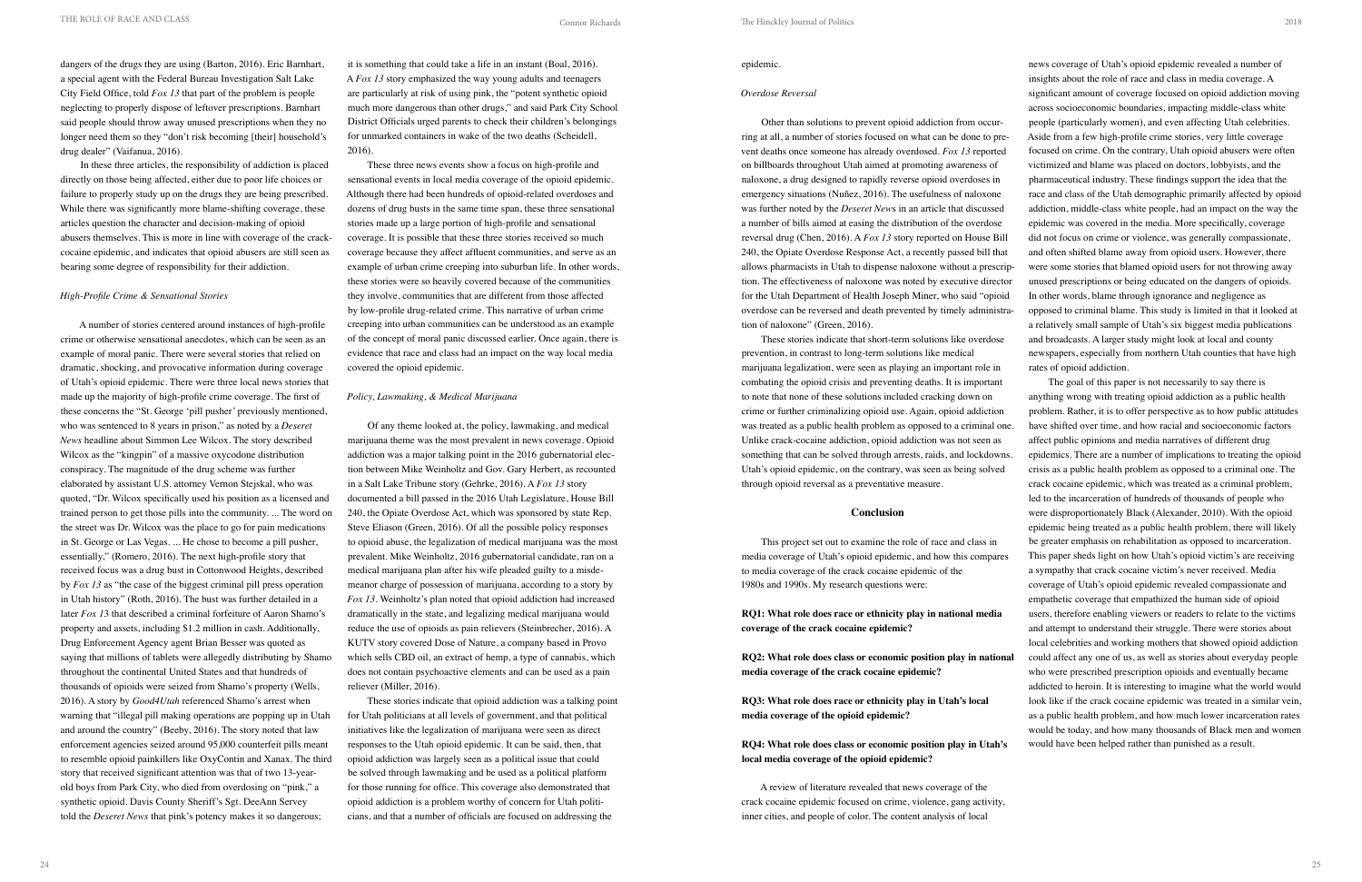dangers of the drugs they are using (Barton, 2016). Eric Barnhart, a special agent with the Federal Bureau Investigation Salt Lake City Field Office, told *Fox 13* that part of the problem is people neglecting to properly dispose of leftover prescriptions. Barnhart said people should throw away unused prescriptions when they no longer need them so they "don't risk becoming [their] household's drug dealer" (Vaifanua, 2016).

In these three articles, the responsibility of addiction is placed directly on those being affected, either due to poor life choices or failure to properly study up on the drugs they are being prescribed. While there was significantly more blame-shifting coverage, these articles question the character and decision-making of opioid abusers themselves. This is more in line with coverage of the crackcocaine epidemic, and indicates that opioid abusers are still seen as bearing some degree of responsibility for their addiction.

# *High-Profile Crime & Sensational Stories*

A number of stories centered around instances of high-profile crime or otherwise sensational anecdotes, which can be seen as an example of moral panic. There were several stories that relied on dramatic, shocking, and provocative information during coverage of Utah's opioid epidemic. There were three local news stories that made up the majority of high-profile crime coverage. The first of these concerns the "St. George 'pill pusher' previously mentioned, who was sentenced to 8 years in prison," as noted by a *Deseret News* headline about Simmon Lee Wilcox. The story described Wilcox as the "kingpin" of a massive oxycodone distribution conspiracy. The magnitude of the drug scheme was further elaborated by assistant U.S. attorney Vernon Stejskal, who was quoted, "Dr. Wilcox specifically used his position as a licensed and trained person to get those pills into the community. ... The word on the street was Dr. Wilcox was the place to go for pain medications in St. George or Las Vegas. ... He chose to become a pill pusher, essentially," (Romero, 2016). The next high-profile story that received focus was a drug bust in Cottonwood Heights, described by *Fox 13* as "the case of the biggest criminal pill press operation in Utah history" (Roth, 2016). The bust was further detailed in a later *Fox 1*3 that described a criminal forfeiture of Aaron Shamo's property and assets, including \$1.2 million in cash. Additionally, Drug Enforcement Agency agent Brian Besser was quoted as saying that millions of tablets were allegedly distributing by Shamo throughout the continental United States and that hundreds of thousands of opioids were seized from Shamo's property (Wells, 2016). A story by *Good4Utah* referenced Shamo's arrest when warning that "illegal pill making operations are popping up in Utah and around the country" (Beeby, 2016). The story noted that law enforcement agencies seized around 95,000 counterfeit pills meant to resemble opioid painkillers like OxyContin and Xanax. The third story that received significant attention was that of two 13-yearold boys from Park City, who died from overdosing on "pink," a synthetic opioid. Davis County Sheriff's Sgt. DeeAnn Servey told the *Deseret News* that pink's potency makes it so dangerous;

it is something that could take a life in an instant (Boal, 2016). A *Fox 13* story emphasized the way young adults and teenagers are particularly at risk of using pink, the "potent synthetic opioid much more dangerous than other drugs," and said Park City School District Officials urged parents to check their children's belongings for unmarked containers in wake of the two deaths (Scheidell, 2016).

These three news events show a focus on high-profile and sensational events in local media coverage of the opioid epidemic. Although there had been hundreds of opioid-related overdoses and dozens of drug busts in the same time span, these three sensational stories made up a large portion of high-profile and sensational coverage. It is possible that these three stories received so much coverage because they affect affluent communities, and serve as an example of urban crime creeping into suburban life. In other words, these stories were so heavily covered because of the communities they involve, communities that are different from those affected by low-profile drug-related crime. This narrative of urban crime creeping into urban communities can be understood as an example of the concept of moral panic discussed earlier. Once again, there is evidence that race and class had an impact on the way local media covered the opioid epidemic.

# *Policy, Lawmaking, & Medical Marijuana*

Of any theme looked at, the policy, lawmaking, and medical marijuana theme was the most prevalent in news coverage. Opioid addiction was a major talking point in the 2016 gubernatorial election between Mike Weinholtz and Gov. Gary Herbert, as recounted in a Salt Lake Tribune story (Gehrke, 2016). A *Fox 13* story documented a bill passed in the 2016 Utah Legislature, House Bill 240, the Opiate Overdose Act, which was sponsored by state Rep. Steve Eliason (Green, 2016). Of all the possible policy responses to opioid abuse, the legalization of medical marijuana was the most prevalent. Mike Weinholtz, 2016 gubernatorial candidate, ran on a medical marijuana plan after his wife pleaded guilty to a misdemeanor charge of possession of marijuana, according to a story by *Fox 13*. Weinholtz's plan noted that opioid addiction had increased dramatically in the state, and legalizing medical marijuana would reduce the use of opioids as pain relievers (Steinbrecher, 2016). A KUTV story covered Dose of Nature, a company based in Provo which sells CBD oil, an extract of hemp, a type of cannabis, which does not contain psychoactive elements and can be used as a pain reliever (Miller, 2016).

These stories indicate that opioid addiction was a talking point for Utah politicians at all levels of government, and that political initiatives like the legalization of marijuana were seen as direct responses to the Utah opioid epidemic. It can be said, then, that opioid addiction was largely seen as a political issue that could be solved through lawmaking and be used as a political platform for those running for office. This coverage also demonstrated that opioid addiction is a problem worthy of concern for Utah politicians, and that a number of officials are focused on addressing the

### epidemic.

### *Overdose Reversal*

Other than solutions to prevent opioid addiction from occurring at all, a number of stories focused on what can be done to prevent deaths once someone has already overdosed. *Fox 13* reported on billboards throughout Utah aimed at promoting awareness of naloxone, a drug designed to rapidly reverse opioid overdoses in emergency situations (Nuñez, 2016). The usefulness of naloxone was further noted by the *Deseret New*s in an article that discussed a number of bills aimed at easing the distribution of the overdose reversal drug (Chen, 2016). A *Fox 13* story reported on House Bill 240, the Opiate Overdose Response Act, a recently passed bill that allows pharmacists in Utah to dispense naloxone without a prescription. The effectiveness of naloxone was noted by executive director for the Utah Department of Health Joseph Miner, who said "opioid overdose can be reversed and death prevented by timely administration of naloxone" (Green, 2016).

These stories indicate that short-term solutions like overdose prevention, in contrast to long-term solutions like medical marijuana legalization, were seen as playing an important role in combating the opioid crisis and preventing deaths. It is important to note that none of these solutions included cracking down on crime or further criminalizing opioid use. Again, opioid addiction was treated as a public health problem as opposed to a criminal one. Unlike crack-cocaine addiction, opioid addiction was not seen as something that can be solved through arrests, raids, and lockdowns. Utah's opioid epidemic, on the contrary, was seen as being solved through opioid reversal as a preventative measure.

# **Conclusion**

This project set out to examine the role of race and class in media coverage of Utah's opioid epidemic, and how this compares to media coverage of the crack cocaine epidemic of the 1980s and 1990s. My research questions were:

**media coverage of the opioid epidemic?** 

**local media coverage of the opioid epidemic?** 

A review of literature revealed that news coverage of the crack cocaine epidemic focused on crime, violence, gang activity, inner cities, and people of color. The content analysis of local

news coverage of Utah's opioid epidemic revealed a number of insights about the role of race and class in media coverage. A significant amount of coverage focused on opioid addiction moving across socioeconomic boundaries, impacting middle-class white people (particularly women), and even affecting Utah celebrities. Aside from a few high-profile crime stories, very little coverage focused on crime. On the contrary, Utah opioid abusers were often victimized and blame was placed on doctors, lobbyists, and the pharmaceutical industry. These findings support the idea that the race and class of the Utah demographic primarily affected by opioid addiction, middle-class white people, had an impact on the way the epidemic was covered in the media. More specifically, coverage did not focus on crime or violence, was generally compassionate, and often shifted blame away from opioid users. However, there were some stories that blamed opioid users for not throwing away unused prescriptions or being educated on the dangers of opioids. In other words, blame through ignorance and negligence as

**RQ1: What role does race or ethnicity play in national media coverage of the crack cocaine epidemic?**  coverage of Utah's opioid epidemic revealed compassionate and empathetic coverage that empathized the human side of opioid users, therefore enabling viewers or readers to relate to the victims and attempt to understand their struggle. There were stories about local celebrities and working mothers that showed opioid addiction

opposed to criminal blame. This study is limited in that it looked at a relatively small sample of Utah's six biggest media publications and broadcasts. A larger study might look at local and county newspapers, especially from northern Utah counties that have high rates of opioid addiction.

**RQ2: What role does class or economic position play in national media coverage of the crack cocaine epidemic? RQ3: What role does race or ethnicity play in Utah's local RQ4: What role does class or economic position play in Utah's**  could affect any one of us, as well as stories about everyday people who were prescribed prescription opioids and eventually became addicted to heroin. It is interesting to imagine what the world would look like if the crack cocaine epidemic was treated in a similar vein, as a public health problem, and how much lower incarceration rates would be today, and how many thousands of Black men and women would have been helped rather than punished as a result.

The goal of this paper is not necessarily to say there is anything wrong with treating opioid addiction as a public health problem. Rather, it is to offer perspective as to how public attitudes have shifted over time, and how racial and socioeconomic factors affect public opinions and media narratives of different drug epidemics. There are a number of implications to treating the opioid crisis as a public health problem as opposed to a criminal one. The crack cocaine epidemic, which was treated as a criminal problem, led to the incarceration of hundreds of thousands of people who were disproportionately Black (Alexander, 2010). With the opioid epidemic being treated as a public health problem, there will likely be greater emphasis on rehabilitation as opposed to incarceration. This paper sheds light on how Utah's opioid victim's are receiving a sympathy that crack cocaine victim's never received. Media